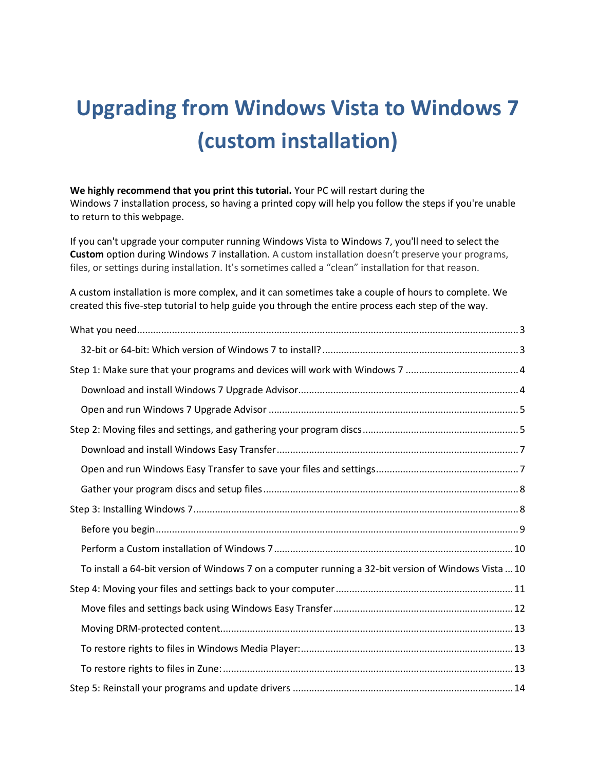# **Upgrading from Windows Vista to Windows 7 (custom installation)**

**We highly recommend that you print this tutorial.** Your PC will restart during the Windows 7 installation process, so having a printed copy will help you follow the steps if you're unable to return to this webpage.

If you can't upgrade your computer running Windows Vista to Windows 7, you'll need to select the **Custom** option during Windows 7 installation. A custom installation doesn't preserve your programs, files, or settings during installation. It's sometimes called a "clean" installation for that reason.

A custom installation is more complex, and it can sometimes take a couple of hours to complete. We created this five-step tutorial to help guide you through the entire process each step of the way.

| To install a 64-bit version of Windows 7 on a computer running a 32-bit version of Windows Vista  10 |  |
|------------------------------------------------------------------------------------------------------|--|
|                                                                                                      |  |
|                                                                                                      |  |
|                                                                                                      |  |
|                                                                                                      |  |
|                                                                                                      |  |
|                                                                                                      |  |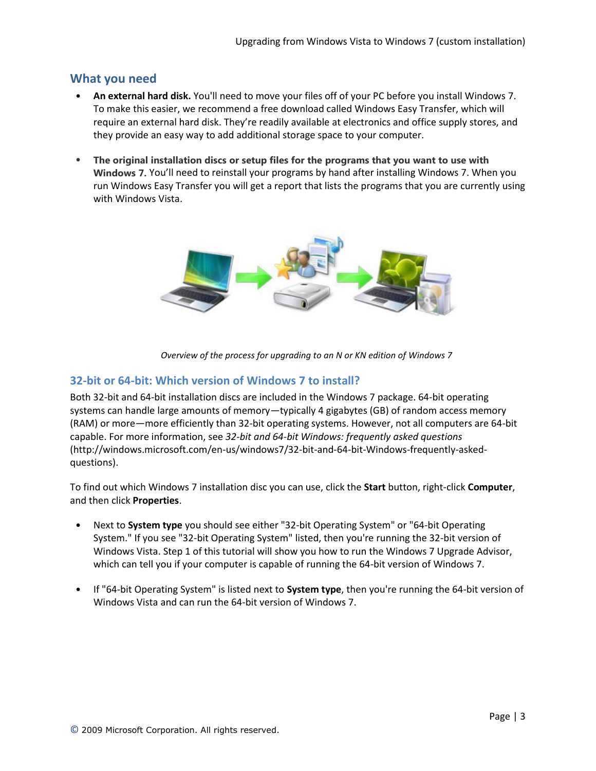# <span id="page-2-0"></span>**What you need**

- **An external hard disk.** You'll need to move your files off of your PC before you install Windows 7. To make this easier, we recommend a free download called Windows Easy Transfer, which will require an external hard disk. They're readily available at electronics and office supply stores, and they provide an easy way to add additional storage space to your computer.
- **The original installation discs or setup files for the programs that you want to use with Windows 7.** You'll need to reinstall your programs by hand after installing Windows 7. When you run Windows Easy Transfer you will get a report that lists the programs that you are currently using with Windows Vista.



*Overview of the process for upgrading to an N or KN edition of Windows 7*

## <span id="page-2-1"></span>**32-bit or 64-bit: Which version of Windows 7 to install?**

Both 32-bit and 64-bit installation discs are included in the Windows 7 package. 64-bit operating systems can handle large amounts of memory—typically 4 gigabytes (GB) of random access memory (RAM) or more—more efficiently than 32-bit operating systems. However, not all computers are 64-bit capable. For more information, see *[32-bit and 64-bit Windows: frequently asked questions](http://windows.microsoft.com/en-us/windows7/32-bit-and-64-bit-Windows-frequently-asked-questions)* (http://windows.microsoft.com/en-us/windows7/32-bit-and-64-bit-Windows-frequently-askedquestions).

To find out which Windows 7 installation disc you can use, click the **Start** button, right-click **Computer**, and then click **Properties**.

- Next to **System type** you should see either "32-bit Operating System" or "64-bit Operating System." If you see "32-bit Operating System" listed, then you're running the 32-bit version of Windows Vista. Step 1 of this tutorial will show you how to run the Windows 7 Upgrade Advisor, which can tell you if your computer is capable of running the 64-bit version of Windows 7.
- If "64-bit Operating System" is listed next to **System type**, then you're running the 64-bit version of Windows Vista and can run the 64-bit version of Windows 7.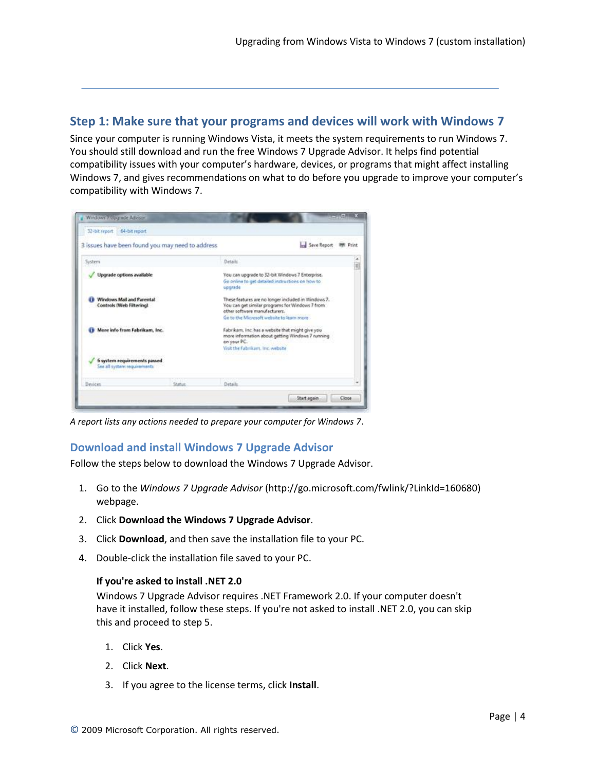# <span id="page-3-0"></span>**Step 1: Make sure that your programs and devices will work with Windows 7**

Since your computer is running Windows Vista, it meets the system requirements to run Windows 7. You should still download and run the free Windows 7 Upgrade Advisor. It helps find potential compatibility issues with your computer's hardware, devices, or programs that might affect installing Windows 7, and gives recommendations on what to do before you upgrade to improve your computer's compatibility with Windows 7.



*A report lists any actions needed to prepare your computer for Windows 7*.

### <span id="page-3-1"></span>**Download and install Windows 7 Upgrade Advisor**

Follow the steps below to download the Windows 7 Upgrade Advisor.

- 1. Go to the *Windows 7 Upgrade Advisor* (http://go.microsoft.com/fwlink/?LinkId=160680) webpage.
- 2. Click **Download the Windows 7 Upgrade Advisor**.
- 3. Click **Download**, and then save the installation file to your PC.
- 4. Double-click the installation file saved to your PC.

### **If you're asked to install .NET 2.0**

Windows 7 Upgrade Advisor requires .NET Framework 2.0. If your computer doesn't have it installed, follow these steps. If you're not asked to install .NET 2.0, you can skip this and proceed to step 5.

- 1. Click **Yes**.
- 2. Click **Next**.
- 3. If you agree to the license terms, click **Install**.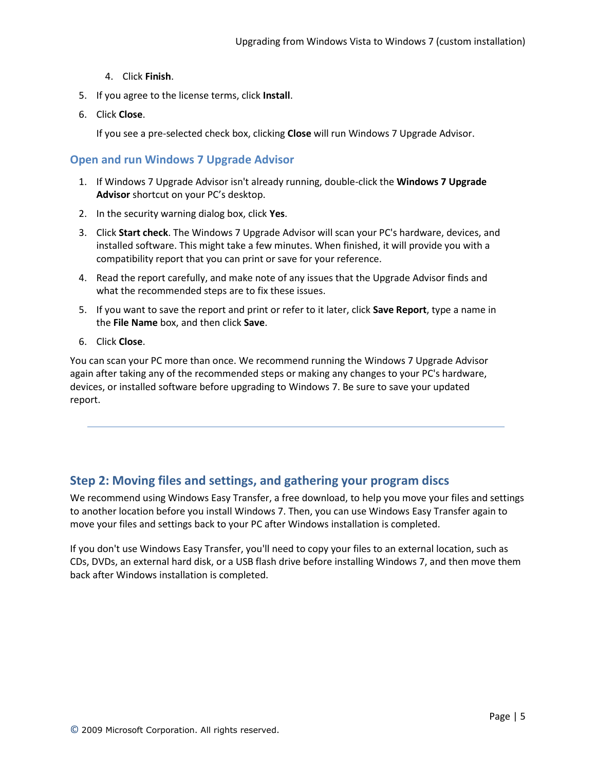- 4. Click **Finish**.
- 5. If you agree to the license terms, click **Install**.
- 6. Click **Close**.

If you see a pre-selected check box, clicking **Close** will run Windows 7 Upgrade Advisor.

### <span id="page-4-0"></span>**Open and run Windows 7 Upgrade Advisor**

- 1. If Windows 7 Upgrade Advisor isn't already running, double-click the **Windows 7 Upgrade Advisor** shortcut on your PC's desktop.
- 2. In the security warning dialog box, click **Yes**.
- 3. Click **Start check**. The Windows 7 Upgrade Advisor will scan your PC's hardware, devices, and installed software. This might take a few minutes. When finished, it will provide you with a compatibility report that you can print or save for your reference.
- 4. Read the report carefully, and make note of any issues that the Upgrade Advisor finds and what the recommended steps are to fix these issues.
- 5. If you want to save the report and print or refer to it later, click **Save Report**, type a name in the **File Name** box, and then click **Save**.
- 6. Click **Close**.

You can scan your PC more than once. We recommend running the Windows 7 Upgrade Advisor again after taking any of the recommended steps or making any changes to your PC's hardware, devices, or installed software before upgrading to Windows 7. Be sure to save your updated report.

# <span id="page-4-1"></span>**Step 2: Moving files and settings, and gathering your program discs**

We recommend using Windows Easy Transfer, a free download, to help you move your files and settings to another location before you install Windows 7. Then, you can use Windows Easy Transfer again to move your files and settings back to your PC after Windows installation is completed.

If you don't use Windows Easy Transfer, you'll need to copy your files to an external location, such as CDs, DVDs, an external hard disk, or a USB flash drive before installing Windows 7, and then move them back after Windows installation is completed.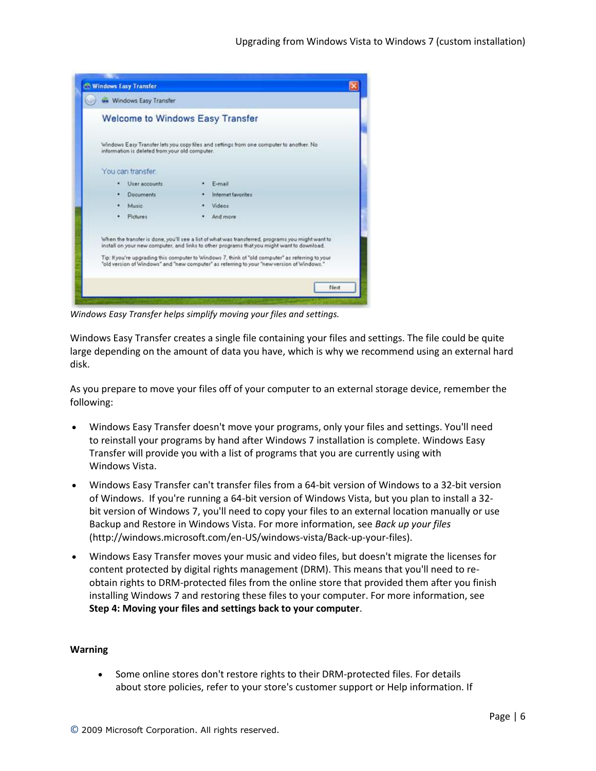

*Windows Easy Transfer helps simplify moving your files and settings.*

Windows Easy Transfer creates a single file containing your files and settings. The file could be quite large depending on the amount of data you have, which is why we recommend using an external hard disk.

As you prepare to move your files off of your computer to an external storage device, remember the following:

- Windows Easy Transfer doesn't move your programs, only your files and settings. You'll need to reinstall your programs by hand after Windows 7 installation is complete. Windows Easy Transfer will provide you with a list of programs that you are currently using with Windows Vista.
- Windows Easy Transfer can't transfer files from a 64-bit version of Windows to a 32-bit version of Windows. If you're running a 64-bit version of Windows Vista, but you plan to install a 32 bit version of Windows 7, you'll need to copy your files to an external location manually or use Backup and Restore in Windows Vista. For more information, see *Back up your files* (http://windows.microsoft.com/en-US/windows-vista/Back-up-your-files).
- Windows Easy Transfer moves your music and video files, but doesn't migrate the licenses for content protected by digital rights management (DRM). This means that you'll need to reobtain rights to DRM-protected files from the online store that provided them after you finish installing Windows 7 and restoring these files to your computer. For more information, see **Step 4: Moving your files and settings back to your computer**.

#### **Warning**

 Some online stores don't restore rights to their DRM-protected files. For details about store policies, refer to your store's customer support or Help information. If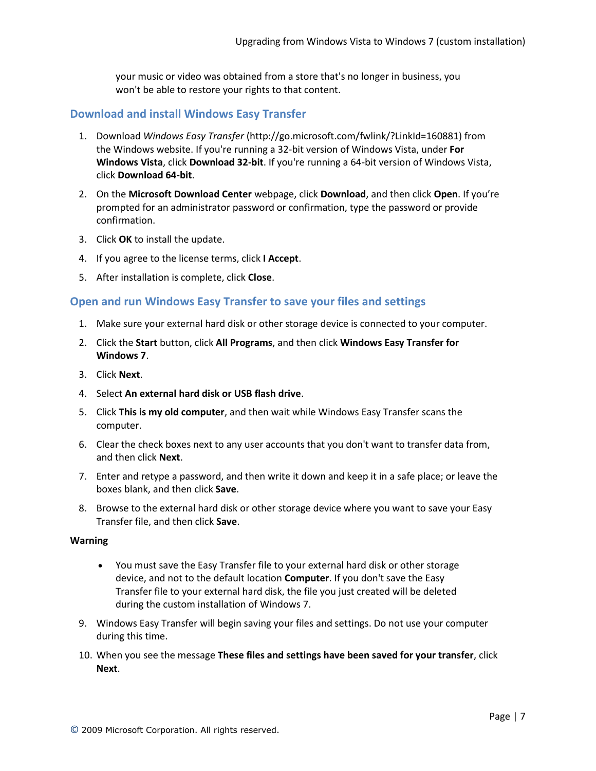your music or video was obtained from a store that's no longer in business, you won't be able to restore your rights to that content.

### <span id="page-6-0"></span>**Download and install Windows Easy Transfer**

- 1. Download *Windows Easy Transfer* (http://go.microsoft.com/fwlink/?LinkId=160881) from the Windows website. If you're running a 32-bit version of Windows Vista, under **For Windows Vista**, click **Download 32-bit**. If you're running a 64-bit version of Windows Vista, click **Download 64-bit**.
- 2. On the **Microsoft Download Center** webpage, click **Download**, and then click **Open**. If you're prompted for an administrator password or confirmation, type the password or provide confirmation.
- 3. Click **OK** to install the update.
- 4. If you agree to the license terms, click **I Accept**.
- 5. After installation is complete, click **Close**.

### <span id="page-6-1"></span>**Open and run Windows Easy Transfer to save your files and settings**

- 1. Make sure your external hard disk or other storage device is connected to your computer.
- 2. Click the **Start** button, click **All Programs**, and then click **Windows Easy Transfer for Windows 7**.
- 3. Click **Next**.
- 4. Select **An external hard disk or USB flash drive**.
- 5. Click **This is my old computer**, and then wait while Windows Easy Transfer scans the computer.
- 6. Clear the check boxes next to any user accounts that you don't want to transfer data from, and then click **Next**.
- 7. Enter and retype a password, and then write it down and keep it in a safe place; or leave the boxes blank, and then click **Save**.
- 8. Browse to the external hard disk or other storage device where you want to save your Easy Transfer file, and then click **Save**.

#### **Warning**

- You must save the Easy Transfer file to your external hard disk or other storage device, and not to the default location **Computer**. If you don't save the Easy Transfer file to your external hard disk, the file you just created will be deleted during the custom installation of Windows 7.
- 9. Windows Easy Transfer will begin saving your files and settings. Do not use your computer during this time.
- 10. When you see the message **These files and settings have been saved for your transfer**, click **Next**.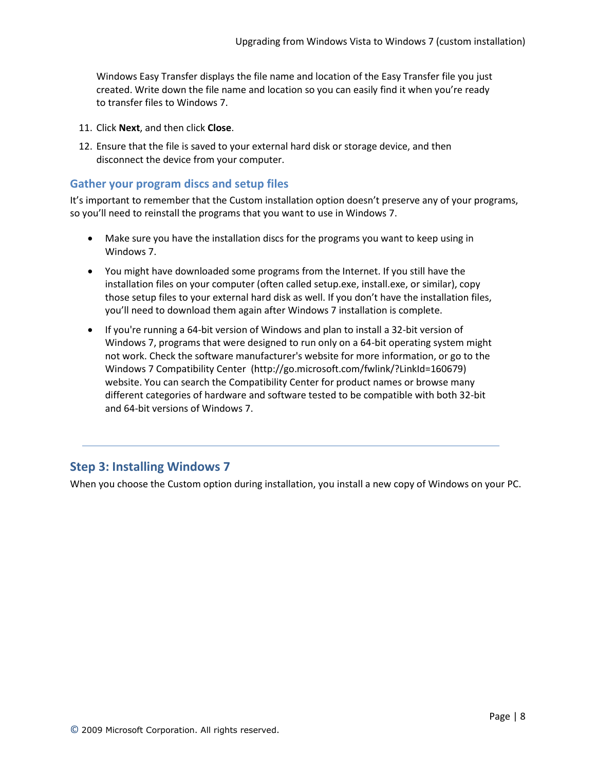Windows Easy Transfer displays the file name and location of the Easy Transfer file you just created. Write down the file name and location so you can easily find it when you're ready to transfer files to Windows 7.

- 11. Click **Next**, and then click **Close**.
- 12. Ensure that the file is saved to your external hard disk or storage device, and then disconnect the device from your computer.

### <span id="page-7-0"></span>**Gather your program discs and setup files**

It's important to remember that the Custom installation option doesn't preserve any of your programs, so you'll need to reinstall the programs that you want to use in Windows 7.

- Make sure you have the installation discs for the programs you want to keep using in Windows 7.
- You might have downloaded some programs from the Internet. If you still have the installation files on your computer (often called setup.exe, install.exe, or similar), copy those setup files to your external hard disk as well. If you don't have the installation files, you'll need to download them again after Windows 7 installation is complete.
- If you're running a 64-bit version of Windows and plan to install a 32-bit version of Windows 7, programs that were designed to run only on a 64-bit operating system might not work. Check the software manufacturer's website for more information, or go to the Windows [7 Compatibility Center](http://go.microsoft.com/fwlink/?linkid=160679) (http://go.microsoft.com/fwlink/?LinkId=160679) website. You can search the Compatibility Center for product names or browse many different categories of hardware and software tested to be compatible with both 32-bit and 64-bit versions of Windows 7.

# <span id="page-7-1"></span>**Step 3: Installing Windows 7**

When you choose the Custom option during installation, you install a new copy of Windows on your PC.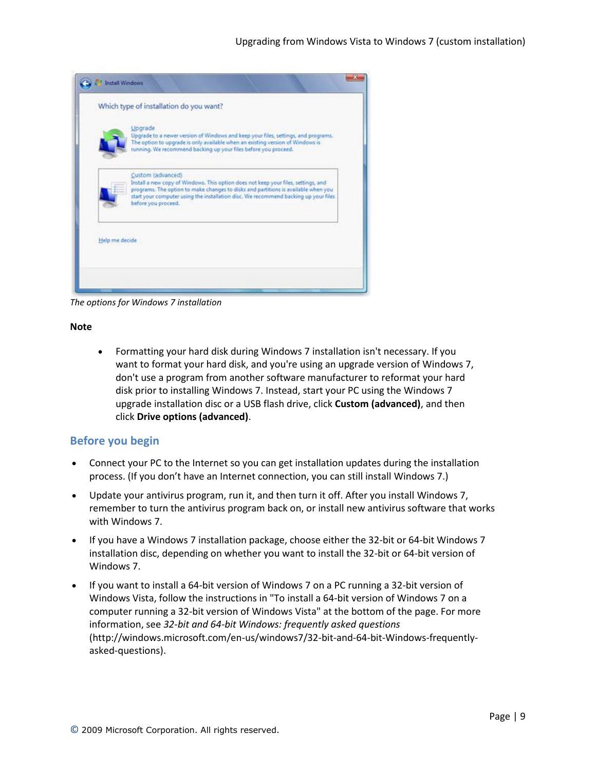| Upgrade<br>Upgrade to a newer version of Windows and keep your files, settings, and programs.<br>The option to upgrade is only available when an existing version of Windows is<br>running. We recommend backing up your files before you proceed.                                                           |
|--------------------------------------------------------------------------------------------------------------------------------------------------------------------------------------------------------------------------------------------------------------------------------------------------------------|
| Custom (advanced).<br>Install a new copy of Windows. This option does not keep your files, settings, and<br>programs. The option to make changes to disks and partitions is available when you<br>start your computer using the installation disc. We recommend backing up your files<br>before you proceed. |

*The options for Windows 7 installation*

### **Note**

 Formatting your hard disk during Windows 7 installation isn't necessary. If you want to format your hard disk, and you're using an upgrade version of Windows 7, don't use a program from another software manufacturer to reformat your hard disk prior to installing Windows 7. Instead, start your PC using the Windows 7 upgrade installation disc or a USB flash drive, click **Custom (advanced)**, and then click **Drive options (advanced)**.

### <span id="page-8-0"></span>**Before you begin**

- Connect your PC to the Internet so you can get installation updates during the installation process. (If you don't have an Internet connection, you can still install Windows 7.)
- Update your antivirus program, run it, and then turn it off. After you install Windows 7, remember to turn the antivirus program back on, or install new antivirus software that works with Windows 7.
- If you have a Windows 7 installation package, choose either the 32-bit or 64-bit Windows 7 installation disc, depending on whether you want to install the 32-bit or 64-bit version of Windows 7.
- If you want to install a 64-bit version of Windows 7 on a PC running a 32-bit version of Windows Vista, follow the instructions in "To install a 64-bit version of Windows 7 on a computer running a 32-bit version of Windows Vista" at the bottom of the page. For more information, see *[32-bit and 64-bit Windows: frequently asked questions](http://windows.microsoft.com/en-us/windows7/32-bit-and-64-bit-Windows-frequently-asked-questions)* (http://windows.microsoft.com/en-us/windows7/32-bit-and-64-bit-Windows-frequentlyasked-questions).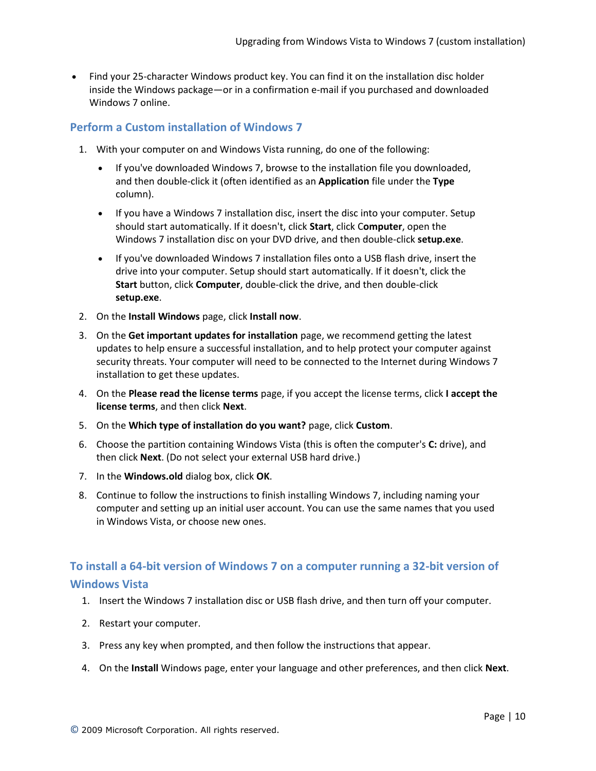• Find your 25-character Windows product key. You can find it on the installation disc holder inside the Windows package—or in a confirmation e-mail if you purchased and downloaded Windows 7 online.

### <span id="page-9-0"></span>**Perform a Custom installation of Windows 7**

- 1. With your computer on and Windows Vista running, do one of the following:
	- If you've downloaded Windows 7, browse to the installation file you downloaded, and then double-click it (often identified as an **Application** file under the **Type** column).
	- If you have a Windows 7 installation disc, insert the disc into your computer. Setup should start automatically. If it doesn't, click **Start**, click C**omputer**, open the Windows 7 installation disc on your DVD drive, and then double-click **setup.exe**.
	- If you've downloaded Windows 7 installation files onto a USB flash drive, insert the drive into your computer. Setup should start automatically. If it doesn't, click the **Start** button, click **Computer**, double-click the drive, and then double-click **setup.exe**.
- 2. On the **Install Windows** page, click **Install now**.
- 3. On the **Get important updates for installation** page, we recommend getting the latest updates to help ensure a successful installation, and to help protect your computer against security threats. Your computer will need to be connected to the Internet during Windows 7 installation to get these updates.
- 4. On the **Please read the license terms** page, if you accept the license terms, click **I accept the license terms**, and then click **Next**.
- 5. On the **Which type of installation do you want?** page, click **Custom**.
- 6. Choose the partition containing Windows Vista (this is often the computer's **C:** drive), and then click **Next**. (Do not select your external USB hard drive.)
- 7. In the **Windows.old** dialog box, click **OK**.
- 8. Continue to follow the instructions to finish installing Windows 7, including naming your computer and setting up an initial user account. You can use the same names that you used in Windows Vista, or choose new ones.

# <span id="page-9-1"></span>**To install a 64-bit version of Windows 7 on a computer running a 32-bit version of**

# **Windows Vista**

- 1. Insert the Windows 7 installation disc or USB flash drive, and then turn off your computer.
- 2. Restart your computer.
- 3. Press any key when prompted, and then follow the instructions that appear.
- 4. On the **Install** Windows page, enter your language and other preferences, and then click **Next**.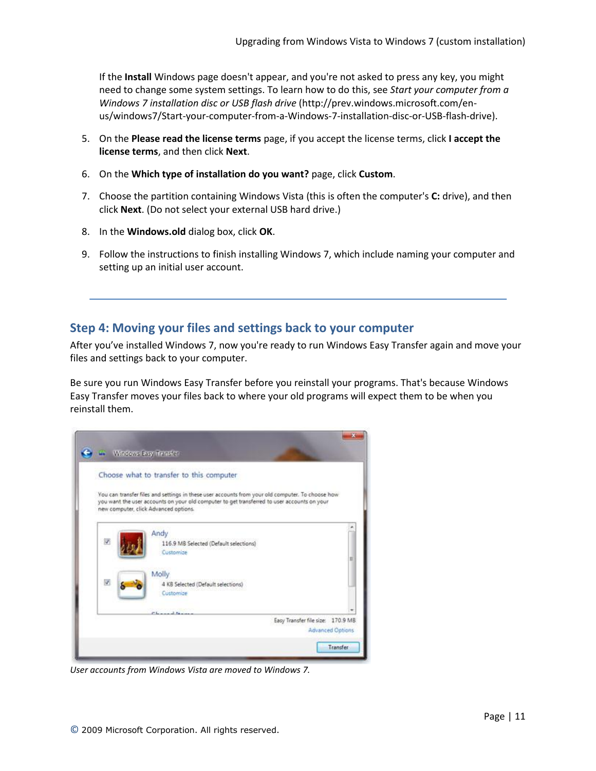If the **Install** Windows page doesn't appear, and you're not asked to press any key, you might need to change some system settings. To learn how to do this, see *[Start your computer from a](http://windows.microsoft.com/en-us/windows7/Start-your-computer-from-a-Windows-7-installation-disc-or-USB-flash-drive)  Windows [7 installation disc or USB flash drive](http://windows.microsoft.com/en-us/windows7/Start-your-computer-from-a-Windows-7-installation-disc-or-USB-flash-drive)* (http://prev.windows.microsoft.com/enus/windows7/Start-your-computer-from-a-Windows-7-installation-disc-or-USB-flash-drive).

- 5. On the **Please read the license terms** page, if you accept the license terms, click **I accept the license terms**, and then click **Next**.
- 6. On the **Which type of installation do you want?** page, click **Custom**.
- 7. Choose the partition containing Windows Vista (this is often the computer's **C:** drive), and then click **Next**. (Do not select your external USB hard drive.)
- 8. In the **Windows.old** dialog box, click **OK**.
- 9. Follow the instructions to finish installing Windows 7, which include naming your computer and setting up an initial user account.

### <span id="page-10-0"></span>**Step 4: Moving your files and settings back to your computer**

After you've installed Windows 7, now you're ready to run Windows Easy Transfer again and move your files and settings back to your computer.

Be sure you run Windows Easy Transfer before you reinstall your programs. That's because Windows Easy Transfer moves your files back to where your old programs will expect them to be when you reinstall them.

|   |                                       | Choose what to transfer to this computer                                                                                                                                                        |                                                              |  |
|---|---------------------------------------|-------------------------------------------------------------------------------------------------------------------------------------------------------------------------------------------------|--------------------------------------------------------------|--|
|   | new computer, click Advanced options. | You can transfer files and settings in these user accounts from your old computer. To choose how<br>you want the user accounts on your old computer to get transferred to user accounts on your |                                                              |  |
| D | Andy<br>Customize                     | 116.9 MB Selected (Default selections)                                                                                                                                                          |                                                              |  |
| V | Molly<br>Customize                    | 4 KB Selected (Default selections)                                                                                                                                                              |                                                              |  |
|   |                                       |                                                                                                                                                                                                 | Easy Transfer file size: 170.9 MB<br><b>Advanced Options</b> |  |

*User accounts from Windows Vista are moved to Windows 7.*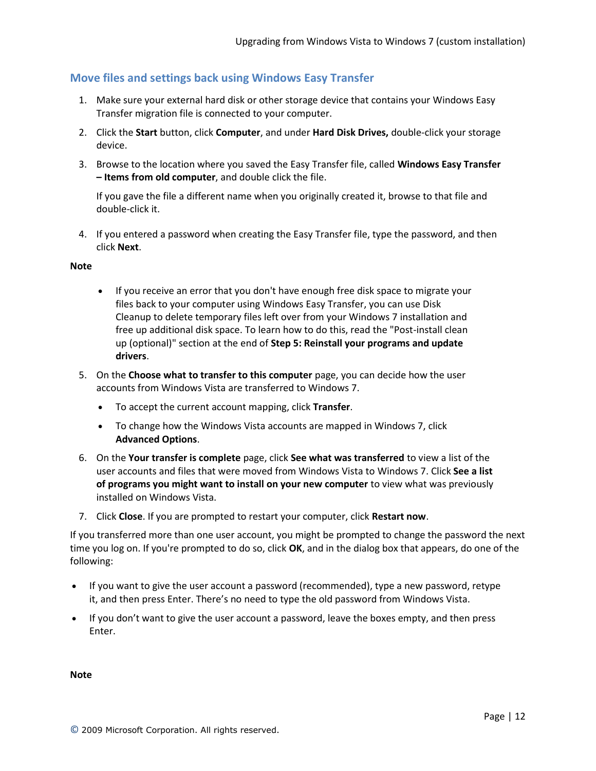## <span id="page-11-0"></span>**Move files and settings back using Windows Easy Transfer**

- 1. Make sure your external hard disk or other storage device that contains your Windows Easy Transfer migration file is connected to your computer.
- 2. Click the **Start** button, click **Computer**, and under **Hard Disk Drives,** double-click your storage device.
- 3. Browse to the location where you saved the Easy Transfer file, called **Windows Easy Transfer – Items from old computer**, and double click the file.

If you gave the file a different name when you originally created it, browse to that file and double-click it.

4. If you entered a password when creating the Easy Transfer file, type the password, and then click **Next**.

### **Note**

- If you receive an error that you don't have enough free disk space to migrate your files back to your computer using Windows Easy Transfer, you can use Disk Cleanup to delete temporary files left over from your Windows 7 installation and free up additional disk space. To learn how to do this, read the "Post-install clean up (optional)" section at the end of **Step 5: Reinstall your programs and update drivers**.
- 5. On the **Choose what to transfer to this computer** page, you can decide how the user accounts from Windows Vista are transferred to Windows 7.
	- To accept the current account mapping, click **Transfer**.
	- To change how the Windows Vista accounts are mapped in Windows 7, click **Advanced Options**.
- 6. On the **Your transfer is complete** page, click **See what was transferred** to view a list of the user accounts and files that were moved from Windows Vista to Windows 7. Click **See a list of programs you might want to install on your new computer** to view what was previously installed on Windows Vista.
- 7. Click **Close**. If you are prompted to restart your computer, click **Restart now**.

If you transferred more than one user account, you might be prompted to change the password the next time you log on. If you're prompted to do so, click **OK**, and in the dialog box that appears, do one of the following:

- If you want to give the user account a password (recommended), type a new password, retype it, and then press Enter. There's no need to type the old password from Windows Vista.
- If you don't want to give the user account a password, leave the boxes empty, and then press Enter.

**Note**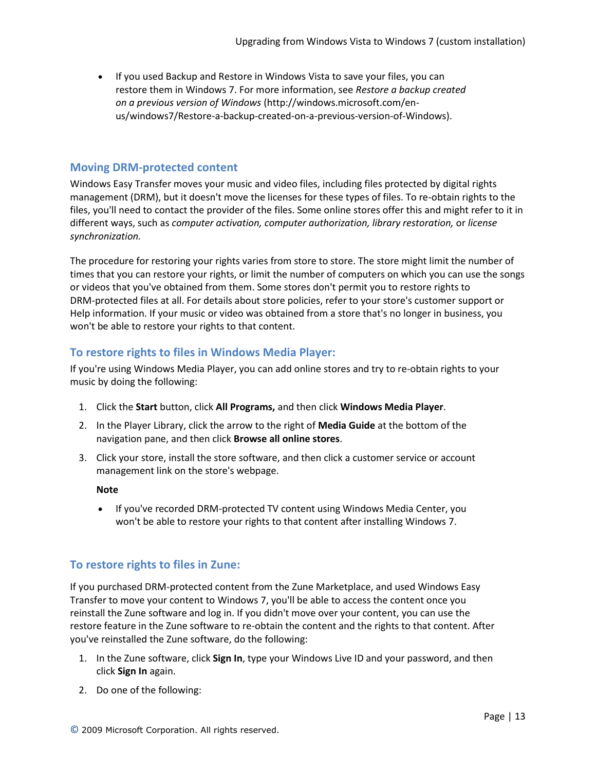If you used Backup and Restore in Windows Vista to save your files, you can restore them in Windows 7. For more information, see *[Restore a backup created](http://windows.microsoft.com/en-us/windows7/Restore-a-backup-created-on-a-previous-version-of-Windows)  [on a previous version of Windows](http://windows.microsoft.com/en-us/windows7/Restore-a-backup-created-on-a-previous-version-of-Windows)* (http://windows.microsoft.com/enus/windows7/Restore-a-backup-created-on-a-previous-version-of-Windows).

### <span id="page-12-0"></span>**Moving DRM-protected content**

Windows Easy Transfer moves your music and video files, including files protected by digital rights management (DRM), but it doesn't move the licenses for these types of files. To re-obtain rights to the files, you'll need to contact the provider of the files. Some online stores offer this and might refer to it in different ways, such as *computer activation, computer authorization, library restoration,* or *license synchronization.*

The procedure for restoring your rights varies from store to store. The store might limit the number of times that you can restore your rights, or limit the number of computers on which you can use the songs or videos that you've obtained from them. Some stores don't permit you to restore rights to DRM-protected files at all. For details about store policies, refer to your store's customer support or Help information. If your music or video was obtained from a store that's no longer in business, you won't be able to restore your rights to that content.

## <span id="page-12-1"></span>**To restore rights to files in Windows Media Player:**

If you're using Windows Media Player, you can add online stores and try to re-obtain rights to your music by doing the following:

- 1. Click the **Start** button, click **All Programs,** and then click **Windows Media Player**.
- 2. In the Player Library, click the arrow to the right of **Media Guide** at the bottom of the navigation pane, and then click **Browse all online stores**.
- 3. Click your store, install the store software, and then click a customer service or account management link on the store's webpage.

**Note**

 If you've recorded DRM-protected TV content using Windows Media Center, you won't be able to restore your rights to that content after installing Windows 7.

## <span id="page-12-2"></span>**To restore rights to files in Zune:**

If you purchased DRM-protected content from the Zune Marketplace, and used Windows Easy Transfer to move your content to Windows 7, you'll be able to access the content once you reinstall the Zune software and log in. If you didn't move over your content, you can use the restore feature in the Zune software to re-obtain the content and the rights to that content. After you've reinstalled the Zune software, do the following:

- 1. In the Zune software, click **Sign In**, type your Windows Live ID and your password, and then click **Sign In** again.
- 2. Do one of the following: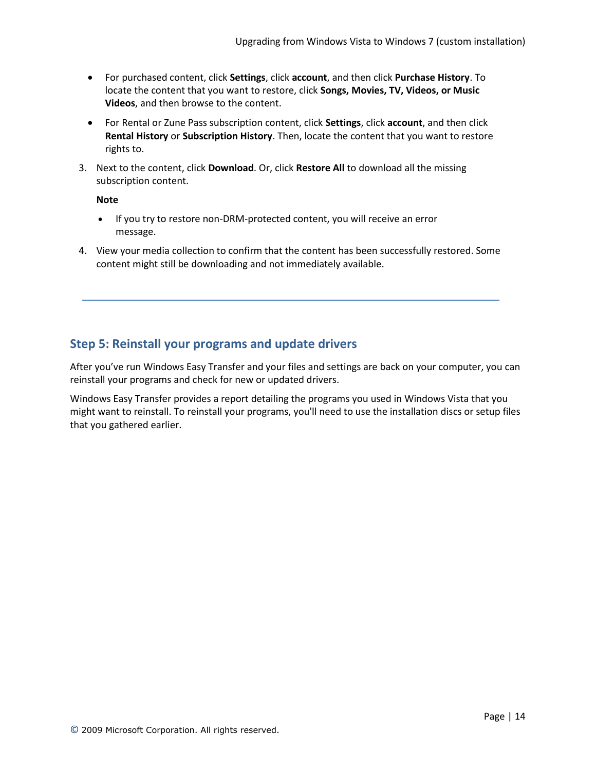- For purchased content, click **Settings**, click **account**, and then click **Purchase History**. To locate the content that you want to restore, click **Songs, Movies, TV, Videos, or Music Videos**, and then browse to the content.
- For Rental or Zune Pass subscription content, click **Settings**, click **account**, and then click **Rental History** or **Subscription History**. Then, locate the content that you want to restore rights to.
- 3. Next to the content, click **Download**. Or, click **Restore All** to download all the missing subscription content.

**Note**

- If you try to restore non-DRM-protected content, you will receive an error message.
- 4. View your media collection to confirm that the content has been successfully restored. Some content might still be downloading and not immediately available.

# <span id="page-13-0"></span>**Step 5: Reinstall your programs and update drivers**

After you've run Windows Easy Transfer and your files and settings are back on your computer, you can reinstall your programs and check for new or updated drivers.

Windows Easy Transfer provides a report detailing the programs you used in Windows Vista that you might want to reinstall. To reinstall your programs, you'll need to use the installation discs or setup files that you gathered earlier.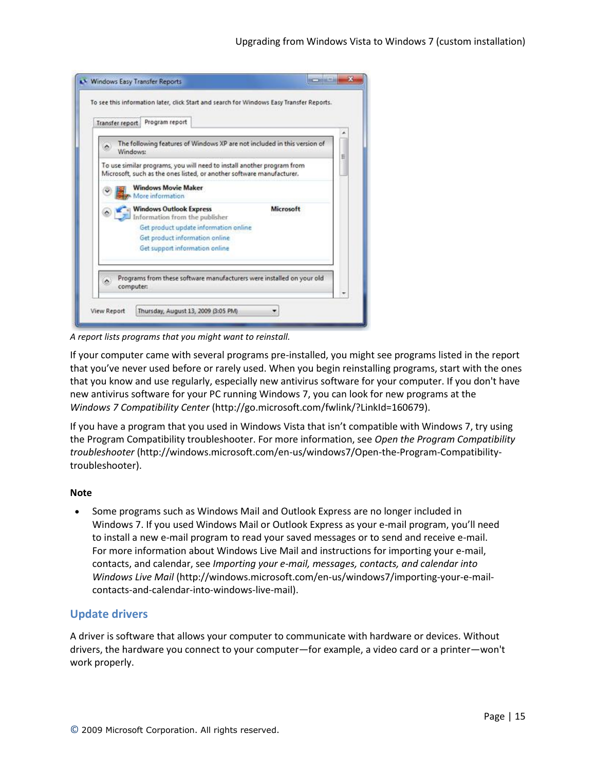

*A report lists programs that you might want to reinstall.*

If your computer came with several programs pre-installed, you might see programs listed in the report that you've never used before or rarely used. When you begin reinstalling programs, start with the ones that you know and use regularly, especially new antivirus software for your computer. If you don't have new antivirus software for your PC running Windows 7, you can look for new programs at the *Windows 7 Compatibility Center* (http://go.microsoft.com/fwlink/?LinkId=160679).

If you have a program that you used in Windows Vista that isn't compatible with Windows 7, try using the Program Compatibility troubleshooter. For more information, see *Open the Program Compatibility troubleshooter* (http://windows.microsoft.com/en-us/windows7/Open-the-Program-Compatibilitytroubleshooter).

### **Note**

 Some programs such as Windows Mail and Outlook Express are no longer included in Windows 7. If you used Windows Mail or Outlook Express as your e-mail program, you'll need to install a new e-mail program to read your saved messages or to send and receive e-mail. For more information about Windows Live Mail and instructions for importing your e-mail, contacts, and calendar, see *Importing your e-mail, messages, contacts, and calendar into Windows Live Mail* (http://windows.microsoft.com/en-us/windows7/importing-your-e-mailcontacts-and-calendar-into-windows-live-mail).

### <span id="page-14-0"></span>**Update drivers**

A driver is software that allows your computer to communicate with hardware or devices. Without drivers, the hardware you connect to your computer—for example, a video card or a printer—won't work properly.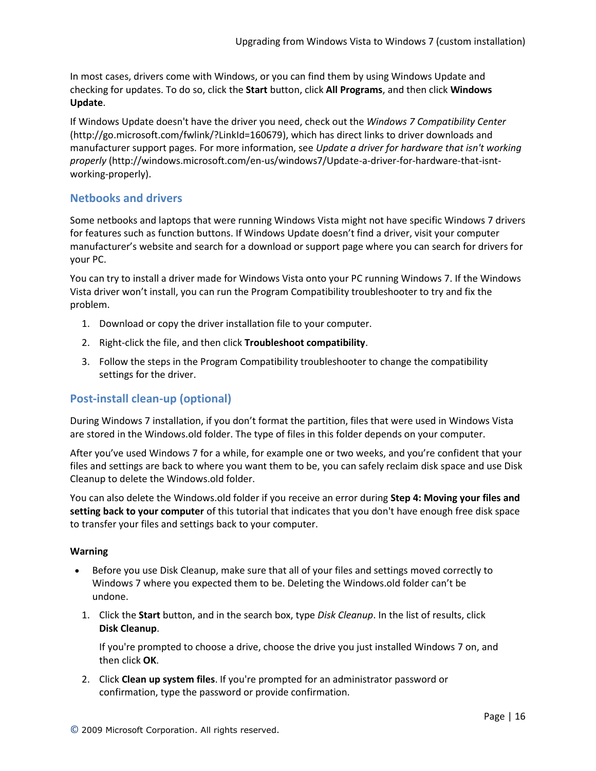In most cases, drivers come with Windows, or you can find them by using Windows Update and checking for updates. To do so, click the **Start** button, click **All Programs**, and then click **Windows Update**.

If Windows Update doesn't have the driver you need, check out the *Windows 7 Compatibility Center* (http://go.microsoft.com/fwlink/?LinkId=160679), which has direct links to driver downloads and manufacturer support pages. For more information, see *Update a driver for hardware that isn't working properly* (http://windows.microsoft.com/en-us/windows7/Update-a-driver-for-hardware-that-isntworking-properly).

## <span id="page-15-0"></span>**Netbooks and drivers**

Some netbooks and laptops that were running Windows Vista might not have specific Windows 7 drivers for features such as function buttons. If Windows Update doesn't find a driver, visit your computer manufacturer's website and search for a download or support page where you can search for drivers for your PC.

You can try to install a driver made for Windows Vista onto your PC running Windows 7. If the Windows Vista driver won't install, you can run the Program Compatibility troubleshooter to try and fix the problem.

- 1. Download or copy the driver installation file to your computer.
- 2. Right-click the file, and then click **Troubleshoot compatibility**.
- 3. Follow the steps in the Program Compatibility troubleshooter to change the compatibility settings for the driver.

# <span id="page-15-1"></span>**Post-install clean-up (optional)**

During Windows 7 installation, if you don't format the partition, files that were used in Windows Vista are stored in the Windows.old folder. The type of files in this folder depends on your computer.

After you've used Windows 7 for a while, for example one or two weeks, and you're confident that your files and settings are back to where you want them to be, you can safely reclaim disk space and use Disk Cleanup to delete the Windows.old folder.

You can also delete the Windows.old folder if you receive an error during **Step 4: Moving your files and setting back to your computer** of this tutorial that indicates that you don't have enough free disk space to transfer your files and settings back to your computer.

### **Warning**

- Before you use Disk Cleanup, make sure that all of your files and settings moved correctly to Windows 7 where you expected them to be. Deleting the Windows.old folder can't be undone.
	- 1. Click the **Start** button, and in the search box, type *Disk Cleanup*. In the list of results, click **Disk Cleanup**.

If you're prompted to choose a drive, choose the drive you just installed Windows 7 on, and then click **OK**.

2. Click **Clean up system files**. If you're prompted for an administrator password or confirmation, type the password or provide confirmation.